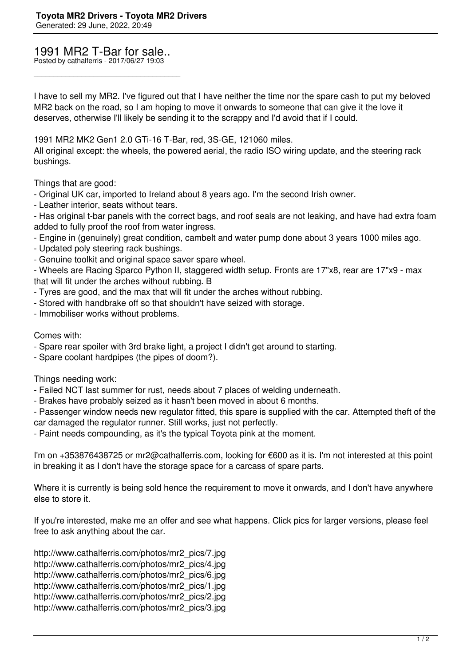## 1991 MR2 T-Bar for sale..

\_\_\_\_\_\_\_\_\_\_\_\_\_\_\_\_\_\_\_\_\_\_\_\_\_\_\_\_\_\_\_\_\_\_\_\_\_

Posted by cathalferris - 2017/06/27 19:03

I have to sell my MR2. I've figured out that I have neither the time nor the spare cash to put my beloved MR2 back on the road, so I am hoping to move it onwards to someone that can give it the love it deserves, otherwise I'll likely be sending it to the scrappy and I'd avoid that if I could.

1991 MR2 MK2 Gen1 2.0 GTi-16 T-Bar, red, 3S-GE, 121060 miles.

All original except: the wheels, the powered aerial, the radio ISO wiring update, and the steering rack bushings.

Things that are good:

- Original UK car, imported to Ireland about 8 years ago. I'm the second Irish owner.

- Leather interior, seats without tears.

- Has original t-bar panels with the correct bags, and roof seals are not leaking, and have had extra foam added to fully proof the roof from water ingress.

- Engine in (genuinely) great condition, cambelt and water pump done about 3 years 1000 miles ago.
- Updated poly steering rack bushings.
- Genuine toolkit and original space saver spare wheel.

- Wheels are Racing Sparco Python II, staggered width setup. Fronts are 17"x8, rear are 17"x9 - max that will fit under the arches without rubbing. B

- Tyres are good, and the max that will fit under the arches without rubbing.
- Stored with handbrake off so that shouldn't have seized with storage.
- Immobiliser works without problems.

Comes with:

- Spare rear spoiler with 3rd brake light, a project I didn't get around to starting.
- Spare coolant hardpipes (the pipes of doom?).

Things needing work:

- Failed NCT last summer for rust, needs about 7 places of welding underneath.
- Brakes have probably seized as it hasn't been moved in about 6 months.

- Passenger window needs new regulator fitted, this spare is supplied with the car. Attempted theft of the car damaged the regulator runner. Still works, just not perfectly.

- Paint needs compounding, as it's the typical Toyota pink at the moment.

I'm on +353876438725 or mr2@cathalferris.com, looking for €600 as it is. I'm not interested at this point in breaking it as I don't have the storage space for a carcass of spare parts.

Where it is currently is being sold hence the requirement to move it onwards, and I don't have anywhere else to store it.

If you're interested, make me an offer and see what happens. Click pics for larger versions, please feel free to ask anything about the car.

http://www.cathalferris.com/photos/mr2\_pics/7.jpg http://www.cathalferris.com/photos/mr2\_pics/4.jpg http://www.cathalferris.com/photos/mr2\_pics/6.jpg http://www.cathalferris.com/photos/mr2\_pics/1.jpg http://www.cathalferris.com/photos/mr2\_pics/2.jpg http://www.cathalferris.com/photos/mr2\_pics/3.jpg